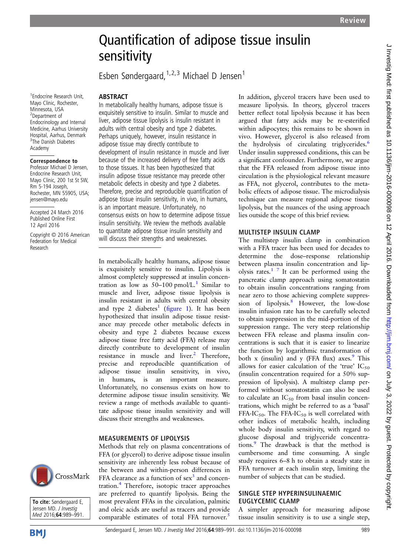# Quantification of adipose tissue insulin sensitivity

Esben Søndergaard,  $1,2,3$  Michael D Jensen<sup>1</sup>

In metabolically healthy humans, adipose tissue is exquisitely sensitive to insulin. Similar to muscle and liver, adipose tissue lipolysis is insulin resistant in adults with central obesity and type 2 diabetes. Perhaps uniquely, however, insulin resistance in adipose tissue may directly contribute to

development of insulin resistance in muscle and liver because of the increased delivery of free fatty acids to those tissues. It has been hypothesized that insulin adipose tissue resistance may precede other metabolic defects in obesity and type 2 diabetes. Therefore, precise and reproducible quantification of adipose tissue insulin sensitivity, in vivo, in humans, is an important measure. Unfortunately, no consensus exists on how to determine adipose tissue insulin sensitivity. We review the methods available to quantitate adipose tissue insulin sensitivity and will discuss their strengths and weaknesses.

In metabolically healthy humans, adipose tissue is exquisitely sensitive to insulin. Lipolysis is almost completely suppressed at insulin concentration as low as  $50-100$  $50-100$  $50-100$  pmol/L.<sup>1</sup> Similar to muscle and liver, adipose tissue lipolysis is insulin resistant in adults with central obesity and type 2 diabetes<sup>[1](#page-2-0)</sup> (fi[gure 1\)](#page-1-0). It has been hypothesized that insulin adipose tissue resistance may precede other metabolic defects in obesity and type 2 diabetes because excess adipose tissue free fatty acid (FFA) release may directly contribute to development of insulin resistance in muscle and liver.<sup>[2](#page-2-0)</sup> Therefore, precise and reproducible quantification of adipose tissue insulin sensitivity, in vivo, in humans, is an important measure. Unfortunately, no consensus exists on how to determine adipose tissue insulin sensitivity. We review a range of methods available to quantitate adipose tissue insulin sensitivity and will

discuss their strengths and weaknesses.

Methods that rely on plasma concentrations of FFA (or glycerol) to derive adipose tissue insulin sensitivity are inherently less robust because of the between and within-person differences in FFA clearance as a function of  $sex<sup>3</sup>$  $sex<sup>3</sup>$  $sex<sup>3</sup>$  and concentration.[4](#page-2-0) Therefore, isotopic tracer approaches are preferred to quantify lipolysis. Being the most prevalent FFAs in the circulation, palmitic and oleic acids are useful as tracers and provide comparable estimates of total FFA turnover.<sup>[5](#page-2-0)</sup>

MEASUREMENTS OF LIPOLYSIS

1 Endocrine Research Unit, Mayo Clinic, Rochester, Minnesota, USA 2 Department of Endocrinology and Internal Medicine, Aarhus University Hospital, Aarhus, Denmark 3 The Danish Diabetes Academy

**ABSTRACT** 

#### Correspondence to

Professor Michael D Jensen, Endocrine Research Unit, Mayo Clinic, 200 1st St SW, Rm 5-194 Joseph, Rochester, MN 55905, USA; jensen@mayo.edu

Accepted 24 March 2016 Published Online First 12 April 2016

Copyright © 2016 American Federation for Medical Research

# CrossMark



**BMI** 

In addition, glycerol tracers have been used to measure lipolysis. In theory, glycerol tracers better reflect total lipolysis because it has been argued that fatty acids may be re-esterified within adipocytes; this remains to be shown in vivo. However, glycerol is also released from the hydrolysis of circulating triglycerides.<sup>[6](#page-2-0)</sup> Under insulin suppressed conditions, this can be a significant confounder. Furthermore, we argue that the FFA released from adipose tissue into circulation is the physiological relevant measure as FFA, not glycerol, contributes to the metabolic effects of adipose tissue. The microdialysis technique can measure regional adipose tissue lipolysis, but the nuances of the using approach lies outside the scope of this brief review.

# MULTISTEP INSULIN CLAMP

The multistep insulin clamp in combination with a FFA tracer has been used for decades to determine the dose–response relationship between plasma insulin concentration and lip-olysis rates.<sup>[1 7](#page-2-0)</sup> It can be performed using the pancreatic clamp approach using somatostatin to obtain insulin concentrations ranging from near zero to those achieving complete suppres-sion of lipolysis.<sup>[8](#page-2-0)</sup> However, the low-dose insulin infusion rate has to be carefully selected to obtain suppression in the mid-portion of the suppression range. The very steep relationship between FFA release and plasma insulin concentrations is such that it is easier to linearize the function by logarithmic transformation of both x (insulin) and y (FFA flux) axes.<sup>[9](#page-2-0)</sup> This allows for easier calculation of the 'true'  $IC_{50}$ (insulin concentration required for a 50% suppression of lipolysis). A multistep clamp performed without somatostatin can also be used to calculate an  $IC_{50}$  from basal insulin concentrations, which might be referred to as a 'basal' FFA-IC<sub>50</sub>. The FFA-IC<sub>50</sub> is well correlated with other indices of metabolic health, including whole body insulin sensitivity, with regard to glucose disposal and triglyceride concentra-tions.<sup>[9](#page-2-0)</sup> The drawback is that the method is cumbersome and time consuming. A single study requires 6–8 h to obtain a steady state in FFA turnover at each insulin step, limiting the number of subjects that can be studied.

#### SINGLE STEP HYPERINSULINAEMIC EUGLYCEMIC CLAMP

A simpler approach for measuring adipose tissue insulin sensitivity is to use a single step,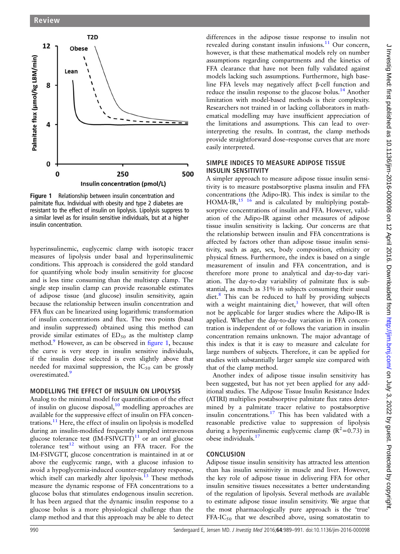<span id="page-1-0"></span>

Figure 1 Relationship between insulin concentration and palmitate flux. Individual with obesity and type 2 diabetes are resistant to the effect of insulin on lipolysis. Lipolysis suppress to a similar level as for insulin sensitive individuals, but at a higher insulin concentration.

hyperinsulinemic, euglycemic clamp with isotopic tracer measures of lipolysis under basal and hyperinsulinemic conditions. This approach is considered the gold standard for quantifying whole body insulin sensitivity for glucose and is less time consuming than the multistep clamp. The single step insulin clamp can provide reasonable estimates of adipose tissue (and glucose) insulin sensitivity, again because the relationship between insulin concentration and FFA flux can be linearized using logarithmic transformation of insulin concentrations and flux. The two points (basal and insulin suppressed) obtained using this method can provide similar estimates of  $ED<sub>50</sub>$  as the multistep clamp method.<sup>[9](#page-2-0)</sup> However, as can be observed in figure 1, because the curve is very steep in insulin sensitive individuals, if the insulin dose selected is even slightly above that needed for maximal suppression, the  $IC_{50}$  can be grossly overestimated.<sup>[9](#page-2-0)</sup>

#### MODELLING THE EFFECT OF INSULIN ON LIPOLYSIS

Analog to the minimal model for quantification of the effect of insulin on glucose disposal, $10 \mod 10$  $10 \mod 10$  modelling approaches are available for the suppressive effect of insulin on FFA concen-trations.<sup>[11](#page-2-0)</sup> Here, the effect of insulin on lipolysis is modelled during an insulin-modified frequently sampled intravenous glucose tolerance test  $(IM-FSIVGTT)^{11}$  $(IM-FSIVGTT)^{11}$  $(IM-FSIVGTT)^{11}$  or an oral glucose tolerance test<sup>12</sup> without using an FFA tracer. For the IM-FSIVGTT, glucose concentration is maintained in at or above the euglycemic range, with a glucose infusion to avoid a hypoglycemia-induced counter-regulatory response, which itself can markedly alter lipolysis.<sup>[13](#page-2-0)</sup> These methods measure the dynamic response of FFA concentrations to a glucose bolus that stimulates endogenous insulin secretion. It has been argued that the dynamic insulin response to a glucose bolus is a more physiological challenge than the clamp method and that this approach may be able to detect

differences in the adipose tissue response to insulin not revealed during constant insulin infusions.<sup>[11](#page-2-0)</sup> Our concern, however, is that these mathematical models rely on number assumptions regarding compartments and the kinetics of FFA clearance that have not been fully validated against models lacking such assumptions. Furthermore, high baseline FFA levels may negatively affect β-cell function and reduce the insulin response to the glucose bolus.<sup>[14](#page-2-0)</sup> Another limitation with model-based methods is their complexity. Researchers not trained in or lacking collaborators in mathematical modelling may have insufficient appreciation of the limitations and assumptions. This can lead to overinterpreting the results. In contrast, the clamp methods provide straightforward dose–response curves that are more easily interpreted.

### SIMPLE INDICES TO MEASURE ADIPOSE TISSUE INSULIN SENSITIVITY

A simpler approach to measure adipose tissue insulin sensitivity is to measure postabsorptive plasma insulin and FFA concentrations (the Adipo-IR). This index is similar to the HOMA-IR, $15 \times 16$  and is calculated by multiplying postabsorptive concentrations of insulin and FFA. However, validation of the Adipo-IR against other measures of adipose tissue insulin sensitivity is lacking. Our concerns are that the relationship between insulin and FFA concentrations is affected by factors other than adipose tissue insulin sensitivity, such as age, sex, body composition, ethnicity or physical fitness. Furthermore, the index is based on a single measurement of insulin and FFA concentration, and is therefore more prone to analytical and day-to-day variation. The day-to-day variability of palmitate flux is substantial, as much as 31% in subjects consuming their usual  $\text{dist.}^8$  $\text{dist.}^8$  This can be reduced to half by providing subjects with a weight maintaining diet, $3$  however, that will often not be applicable for larger studies where the Adipo-IR is applied. Whether the day-to-day variation in FFA concentration is independent of or follows the variation in insulin concentration remains unknown. The major advantage of this index is that it is easy to measure and calculate for large numbers of subjects. Therefore, it can be applied for studies with substantially larger sample size compared with that of the clamp method.

Another index of adipose tissue insulin sensitivity has been suggested, but has not yet been applied for any additional studies. The Adipose Tissue Insulin Resistance Index (ATIRI) multiplies postabsorptive palmitate flux rates determined by a palmitate tracer relative to postabsorptive insulin concentrations.<sup>[17](#page-2-0)</sup> This has been validated with a reasonable predictive value to suppression of lipolysis during a hyperinsulinemic euglycemic clamp  $(R^2=0.73)$  in obese individuals.[17](#page-2-0)

# **CONCLUSION**

Adipose tissue insulin sensitivity has attracted less attention than has insulin sensitivity in muscle and liver. However, the key role of adipose tissue in delivering FFA for other insulin sensitive tissues necessitates a better understanding of the regulation of lipolysis. Several methods are available to estimate adipose tissue insulin sensitivity. We argue that the most pharmacologically pure approach is the 'true' FFA-IC $_{50}$  that we described above, using somatostatin to